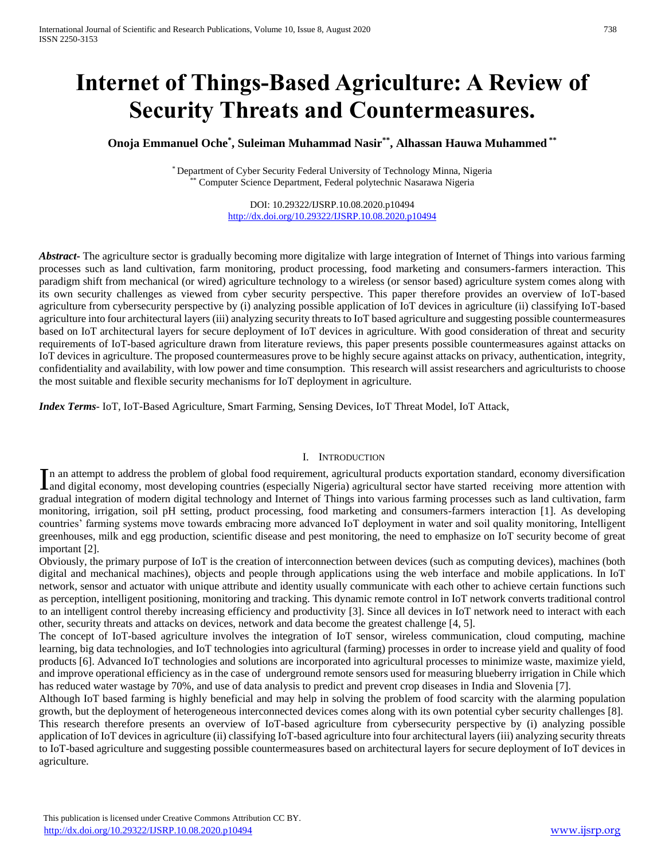# **Internet of Things-Based Agriculture: A Review of Security Threats and Countermeasures.**

# **Onoja Emmanuel Oche\* , Suleiman Muhammad Nasir\*\* , Alhassan Hauwa Muhammed \*\***

\* Department of Cyber Security Federal University of Technology Minna, Nigeria Computer Science Department, Federal polytechnic Nasarawa Nigeria

> DOI: 10.29322/IJSRP.10.08.2020.p10494 <http://dx.doi.org/10.29322/IJSRP.10.08.2020.p10494>

*Abstract***-** The agriculture sector is gradually becoming more digitalize with large integration of Internet of Things into various farming processes such as land cultivation, farm monitoring, product processing, food marketing and consumers-farmers interaction. This paradigm shift from mechanical (or wired) agriculture technology to a wireless (or sensor based) agriculture system comes along with its own security challenges as viewed from cyber security perspective. This paper therefore provides an overview of IoT-based agriculture from cybersecurity perspective by (i) analyzing possible application of IoT devices in agriculture (ii) classifying IoT-based agriculture into four architectural layers (iii) analyzing security threats to IoT based agriculture and suggesting possible countermeasures based on IoT architectural layers for secure deployment of IoT devices in agriculture. With good consideration of threat and security requirements of IoT-based agriculture drawn from literature reviews, this paper presents possible countermeasures against attacks on IoT devices in agriculture. The proposed countermeasures prove to be highly secure against attacks on privacy, authentication, integrity, confidentiality and availability, with low power and time consumption. This research will assist researchers and agriculturists to choose the most suitable and flexible security mechanisms for IoT deployment in agriculture.

*Index Terms*- IoT, IoT-Based Agriculture, Smart Farming, Sensing Devices, IoT Threat Model, IoT Attack,

#### I. INTRODUCTION

n an attempt to address the problem of global food requirement, agricultural products exportation standard, economy diversification In an attempt to address the problem of global food requirement, agricultural products exportation standard, economy diversification and digital economy, most developing countries (especially Nigeria) agricultural sector h gradual integration of modern digital technology and Internet of Things into various farming processes such as land cultivation, farm monitoring, irrigation, soil pH setting, product processing, food marketing and consumers-farmers interaction [1]. As developing countries' farming systems move towards embracing more advanced IoT deployment in water and soil quality monitoring, Intelligent greenhouses, milk and egg production, scientific disease and pest monitoring, the need to emphasize on IoT security become of great important [2].

Obviously, the primary purpose of IoT is the creation of interconnection between devices (such as computing devices), machines (both digital and mechanical machines), objects and people through applications using the web interface and mobile applications. In IoT network, sensor and actuator with unique attribute and identity usually communicate with each other to achieve certain functions such as perception, intelligent positioning, monitoring and tracking. This dynamic remote control in IoT network converts traditional control to an intelligent control thereby increasing efficiency and productivity [3]. Since all devices in IoT network need to interact with each other, security threats and attacks on devices, network and data become the greatest challenge [4, 5].

The concept of IoT-based agriculture involves the integration of IoT sensor, wireless communication, cloud computing, machine learning, big data technologies, and IoT technologies into agricultural (farming) processes in order to increase yield and quality of food products [6]. Advanced IoT technologies and solutions are incorporated into agricultural processes to minimize waste, maximize yield, and improve operational efficiency as in the case of underground remote sensors used for measuring blueberry irrigation in Chile which has reduced water wastage by 70%, and use of data analysis to predict and prevent crop diseases in India and Slovenia [7].

Although IoT based farming is highly beneficial and may help in solving the problem of food scarcity with the alarming population growth, but the deployment of heterogeneous interconnected devices comes along with its own potential cyber security challenges [8]. This research therefore presents an overview of IoT-based agriculture from cybersecurity perspective by (i) analyzing possible application of IoT devices in agriculture (ii) classifying IoT-based agriculture into four architectural layers (iii) analyzing security threats to IoT-based agriculture and suggesting possible countermeasures based on architectural layers for secure deployment of IoT devices in agriculture.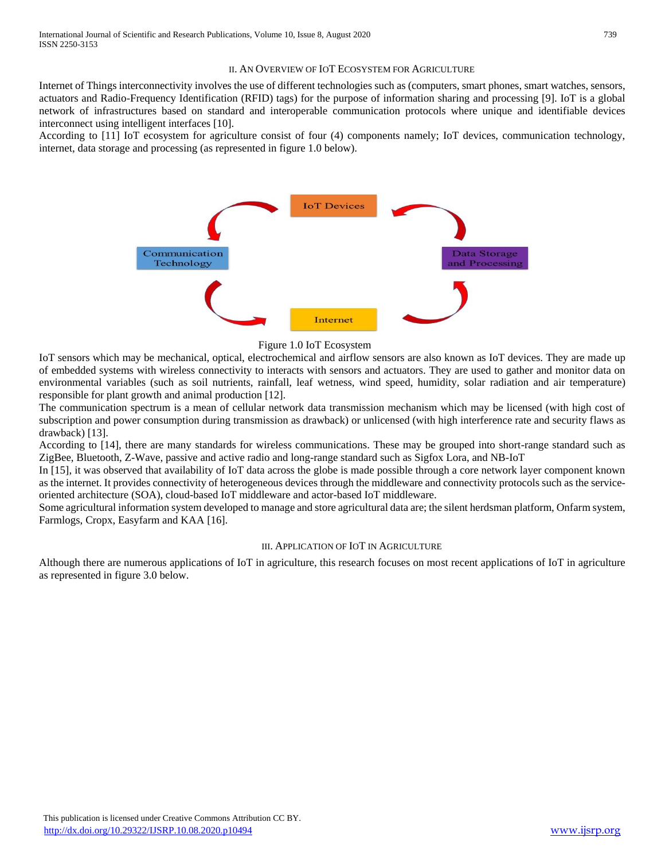#### II. AN OVERVIEW OF IOT ECOSYSTEM FOR AGRICULTURE

Internet of Things interconnectivity involves the use of different technologies such as (computers, smart phones, smart watches, sensors, actuators and Radio-Frequency Identification (RFID) tags) for the purpose of information sharing and processing [9]. IoT is a global network of infrastructures based on standard and interoperable communication protocols where unique and identifiable devices interconnect using intelligent interfaces [10].

According to [11] IoT ecosystem for agriculture consist of four (4) components namely; IoT devices, communication technology, internet, data storage and processing (as represented in figure 1.0 below).



#### Figure 1.0 IoT Ecosystem

IoT sensors which may be mechanical, optical, electrochemical and airflow sensors are also known as IoT devices. They are made up of embedded systems with wireless connectivity to interacts with sensors and actuators. They are used to gather and monitor data on environmental variables (such as soil nutrients, rainfall, leaf wetness, wind speed, humidity, solar radiation and air temperature) responsible for plant growth and animal production [12].

The communication spectrum is a mean of cellular network data transmission mechanism which may be licensed (with high cost of subscription and power consumption during transmission as drawback) or unlicensed (with high interference rate and security flaws as drawback) [13].

According to [14], there are many standards for wireless communications. These may be grouped into short-range standard such as ZigBee, Bluetooth, Z-Wave, passive and active radio and long-range standard such as Sigfox Lora, and NB-IoT

In [15], it was observed that availability of IoT data across the globe is made possible through a core network layer component known as the internet. It provides connectivity of heterogeneous devices through the middleware and connectivity protocols such as the serviceoriented architecture (SOA), cloud-based IoT middleware and actor-based IoT middleware.

Some agricultural information system developed to manage and store agricultural data are; the silent herdsman platform, Onfarm system, Farmlogs, Cropx, Easyfarm and KAA [16].

#### III. APPLICATION OF IOT IN AGRICULTURE

Although there are numerous applications of IoT in agriculture, this research focuses on most recent applications of IoT in agriculture as represented in figure 3.0 below.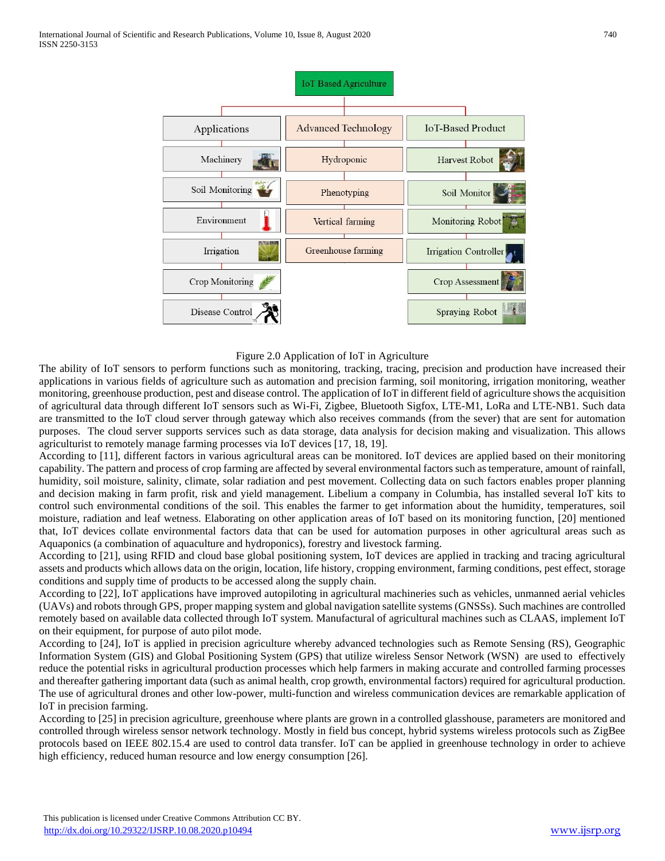

Figure 2.0 Application of IoT in Agriculture

The ability of IoT sensors to perform functions such as monitoring, tracking, tracing, precision and production have increased their applications in various fields of agriculture such as automation and precision farming, soil monitoring, irrigation monitoring, weather monitoring, greenhouse production, pest and disease control. The application of IoT in different field of agriculture shows the acquisition of agricultural data through different IoT sensors such as Wi-Fi, Zigbee, Bluetooth Sigfox, LTE-M1, LoRa and LTE-NB1. Such data are transmitted to the IoT cloud server through gateway which also receives commands (from the sever) that are sent for automation purposes. The cloud server supports services such as data storage, data analysis for decision making and visualization. This allows agriculturist to remotely manage farming processes via IoT devices [17, 18, 19].

According to [11], different factors in various agricultural areas can be monitored. IoT devices are applied based on their monitoring capability. The pattern and process of crop farming are affected by several environmental factors such as temperature, amount of rainfall, humidity, soil moisture, salinity, climate, solar radiation and pest movement. Collecting data on such factors enables proper planning and decision making in farm profit, risk and yield management. Libelium a company in Columbia, has installed several IoT kits to control such environmental conditions of the soil. This enables the farmer to get information about the humidity, temperatures, soil moisture, radiation and leaf wetness. Elaborating on other application areas of IoT based on its monitoring function, [20] mentioned that, IoT devices collate environmental factors data that can be used for automation purposes in other agricultural areas such as Aquaponics (a combination of aquaculture and hydroponics), forestry and livestock farming.

According to [21], using RFID and cloud base global positioning system, IoT devices are applied in tracking and tracing agricultural assets and products which allows data on the origin, location, life history, cropping environment, farming conditions, pest effect, storage conditions and supply time of products to be accessed along the supply chain.

According to [22], IoT applications have improved autopiloting in agricultural machineries such as vehicles, unmanned aerial vehicles (UAVs) and robots through GPS, proper mapping system and global navigation satellite systems (GNSSs). Such machines are controlled remotely based on available data collected through IoT system. Manufactural of agricultural machines such as CLAAS, implement IoT on their equipment, for purpose of auto pilot mode.

According to [24], IoT is applied in precision agriculture whereby advanced technologies such as Remote Sensing (RS), Geographic Information System (GIS) and Global Positioning System (GPS) that utilize wireless Sensor Network (WSN) are used to effectively reduce the potential risks in agricultural production processes which help farmers in making accurate and controlled farming processes and thereafter gathering important data (such as animal health, crop growth, environmental factors) required for agricultural production. The use of agricultural drones and other low-power, multi-function and wireless communication devices are remarkable application of IoT in precision farming.

According to [25] in precision agriculture, greenhouse where plants are grown in a controlled glasshouse, parameters are monitored and controlled through wireless sensor network technology. Mostly in field bus concept, hybrid systems wireless protocols such as ZigBee protocols based on IEEE 802.15.4 are used to control data transfer. IoT can be applied in greenhouse technology in order to achieve high efficiency, reduced human resource and low energy consumption [26].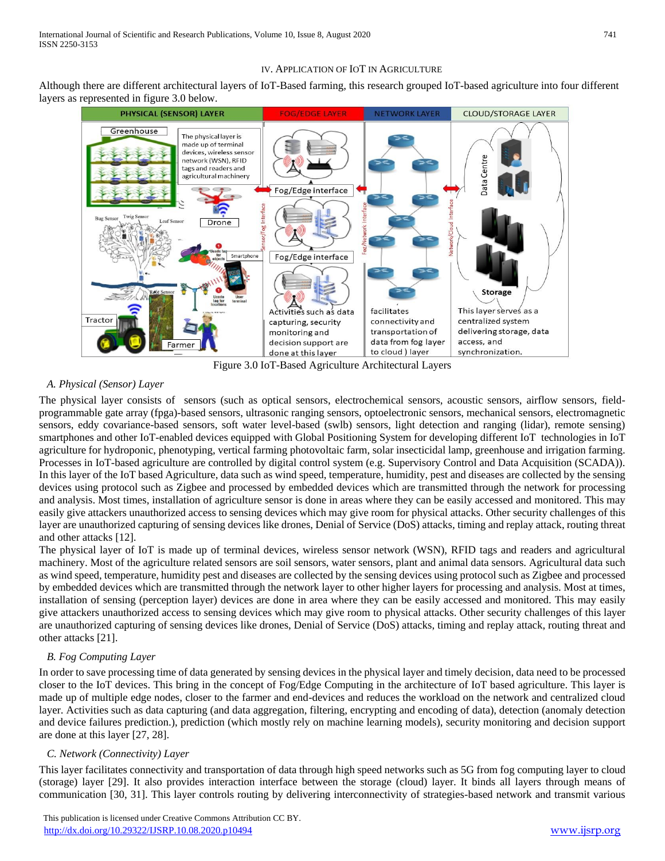#### IV. APPLICATION OF IOT IN AGRICULTURE

Although there are different architectural layers of IoT-Based farming, this research grouped IoT-based agriculture into four different layers as represented in figure 3.0 below.



Figure 3.0 IoT-Based Agriculture Architectural Layers

# *A. Physical (Sensor) Layer*

The physical layer consists of sensors (such as optical sensors, electrochemical sensors, acoustic sensors, airflow sensors, fieldprogrammable gate array (fpga)-based sensors, ultrasonic ranging sensors, optoelectronic sensors, mechanical sensors, electromagnetic sensors, eddy covariance-based sensors, soft water level-based (swlb) sensors, light detection and ranging (lidar), remote sensing) smartphones and other IoT-enabled devices equipped with Global Positioning System for developing different IoT technologies in IoT agriculture for hydroponic, phenotyping, vertical farming photovoltaic farm, solar insecticidal lamp, greenhouse and irrigation farming. Processes in IoT-based agriculture are controlled by digital control system (e.g. Supervisory Control and Data Acquisition (SCADA)). In this layer of the IoT based Agriculture, data such as wind speed, temperature, humidity, pest and diseases are collected by the sensing devices using protocol such as Zigbee and processed by embedded devices which are transmitted through the network for processing and analysis. Most times, installation of agriculture sensor is done in areas where they can be easily accessed and monitored. This may easily give attackers unauthorized access to sensing devices which may give room for physical attacks. Other security challenges of this layer are unauthorized capturing of sensing devices like drones, Denial of Service (DoS) attacks, timing and replay attack, routing threat and other attacks [12].

The physical layer of IoT is made up of terminal devices, wireless sensor network (WSN), RFID tags and readers and agricultural machinery. Most of the agriculture related sensors are soil sensors, water sensors, plant and animal data sensors. Agricultural data such as wind speed, temperature, humidity pest and diseases are collected by the sensing devices using protocol such as Zigbee and processed by embedded devices which are transmitted through the network layer to other higher layers for processing and analysis. Most at times, installation of sensing (perception layer) devices are done in area where they can be easily accessed and monitored. This may easily give attackers unauthorized access to sensing devices which may give room to physical attacks. Other security challenges of this layer are unauthorized capturing of sensing devices like drones, Denial of Service (DoS) attacks, timing and replay attack, routing threat and other attacks [21].

## *B. Fog Computing Layer*

In order to save processing time of data generated by sensing devices in the physical layer and timely decision, data need to be processed closer to the IoT devices. This bring in the concept of Fog/Edge Computing in the architecture of IoT based agriculture. This layer is made up of multiple edge nodes, closer to the farmer and end-devices and reduces the workload on the network and centralized cloud layer. Activities such as data capturing (and data aggregation, filtering, encrypting and encoding of data), detection (anomaly detection and device failures prediction.), prediction (which mostly rely on machine learning models), security monitoring and decision support are done at this layer [27, 28].

## *C. Network (Connectivity) Layer*

This layer facilitates connectivity and transportation of data through high speed networks such as 5G from fog computing layer to cloud (storage) layer [29]. It also provides interaction interface between the storage (cloud) layer. It binds all layers through means of communication [30, 31]. This layer controls routing by delivering interconnectivity of strategies-based network and transmit various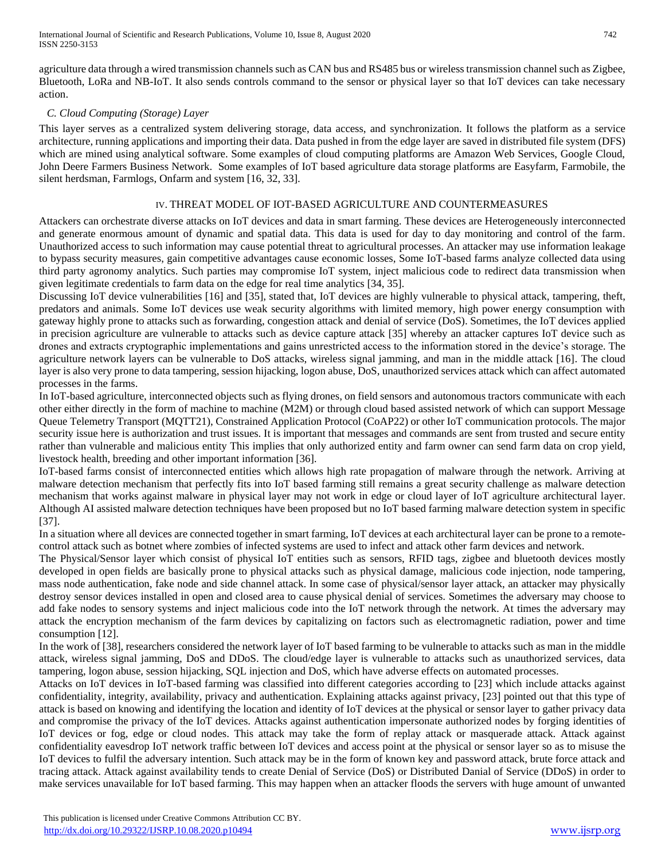agriculture data through a wired transmission channels such as CAN bus and RS485 bus or wireless transmission channel such as Zigbee, Bluetooth, LoRa and NB-IoT. It also sends controls command to the sensor or physical layer so that IoT devices can take necessary action.

## *C. Cloud Computing (Storage) Layer*

This layer serves as a centralized system delivering storage, data access, and synchronization. It follows the platform as a service architecture, running applications and importing their data. Data pushed in from the edge layer are saved in distributed file system (DFS) which are mined using analytical software. Some examples of cloud computing platforms are Amazon Web Services, Google Cloud, John Deere Farmers Business Network. Some examples of IoT based agriculture data storage platforms are Easyfarm, Farmobile, the silent herdsman, Farmlogs, Onfarm and system [16, 32, 33].

## IV. THREAT MODEL OF IOT-BASED AGRICULTURE AND COUNTERMEASURES

Attackers can orchestrate diverse attacks on IoT devices and data in smart farming. These devices are Heterogeneously interconnected and generate enormous amount of dynamic and spatial data. This data is used for day to day monitoring and control of the farm. Unauthorized access to such information may cause potential threat to agricultural processes. An attacker may use information leakage to bypass security measures, gain competitive advantages cause economic losses, Some IoT-based farms analyze collected data using third party agronomy analytics. Such parties may compromise IoT system, inject malicious code to redirect data transmission when given legitimate credentials to farm data on the edge for real time analytics [34, 35].

Discussing IoT device vulnerabilities [16] and [35], stated that, IoT devices are highly vulnerable to physical attack, tampering, theft, predators and animals. Some IoT devices use weak security algorithms with limited memory, high power energy consumption with gateway highly prone to attacks such as forwarding, congestion attack and denial of service (DoS). Sometimes, the IoT devices applied in precision agriculture are vulnerable to attacks such as device capture attack [35] whereby an attacker captures IoT device such as drones and extracts cryptographic implementations and gains unrestricted access to the information stored in the device's storage. The agriculture network layers can be vulnerable to DoS attacks, wireless signal jamming, and man in the middle attack [16]. The cloud layer is also very prone to data tampering, session hijacking, logon abuse, DoS, unauthorized services attack which can affect automated processes in the farms.

In IoT-based agriculture, interconnected objects such as flying drones, on field sensors and autonomous tractors communicate with each other either directly in the form of machine to machine (M2M) or through cloud based assisted network of which can support Message Queue Telemetry Transport (MQTT21), Constrained Application Protocol (CoAP22) or other IoT communication protocols. The major security issue here is authorization and trust issues. It is important that messages and commands are sent from trusted and secure entity rather than vulnerable and malicious entity This implies that only authorized entity and farm owner can send farm data on crop yield, livestock health, breeding and other important information [36].

IoT-based farms consist of interconnected entities which allows high rate propagation of malware through the network. Arriving at malware detection mechanism that perfectly fits into IoT based farming still remains a great security challenge as malware detection mechanism that works against malware in physical layer may not work in edge or cloud layer of IoT agriculture architectural layer. Although AI assisted malware detection techniques have been proposed but no IoT based farming malware detection system in specific [37].

In a situation where all devices are connected together in smart farming, IoT devices at each architectural layer can be prone to a remotecontrol attack such as botnet where zombies of infected systems are used to infect and attack other farm devices and network.

The Physical/Sensor layer which consist of physical IoT entities such as sensors, RFID tags, zigbee and bluetooth devices mostly developed in open fields are basically prone to physical attacks such as physical damage, malicious code injection, node tampering, mass node authentication, fake node and side channel attack. In some case of physical/sensor layer attack, an attacker may physically destroy sensor devices installed in open and closed area to cause physical denial of services. Sometimes the adversary may choose to add fake nodes to sensory systems and inject malicious code into the IoT network through the network. At times the adversary may attack the encryption mechanism of the farm devices by capitalizing on factors such as electromagnetic radiation, power and time consumption [12].

In the work of [38], researchers considered the network layer of IoT based farming to be vulnerable to attacks such as man in the middle attack, wireless signal jamming, DoS and DDoS. The cloud/edge layer is vulnerable to attacks such as unauthorized services, data tampering, logon abuse, session hijacking, SQL injection and DoS, which have adverse effects on automated processes.

Attacks on IoT devices in IoT-based farming was classified into different categories according to [23] which include attacks against confidentiality, integrity, availability, privacy and authentication. Explaining attacks against privacy, [23] pointed out that this type of attack is based on knowing and identifying the location and identity of IoT devices at the physical or sensor layer to gather privacy data and compromise the privacy of the IoT devices. Attacks against authentication impersonate authorized nodes by forging identities of IoT devices or fog, edge or cloud nodes. This attack may take the form of replay attack or masquerade attack. Attack against confidentiality eavesdrop IoT network traffic between IoT devices and access point at the physical or sensor layer so as to misuse the IoT devices to fulfil the adversary intention. Such attack may be in the form of known key and password attack, brute force attack and tracing attack. Attack against availability tends to create Denial of Service (DoS) or Distributed Danial of Service (DDoS) in order to make services unavailable for IoT based farming. This may happen when an attacker floods the servers with huge amount of unwanted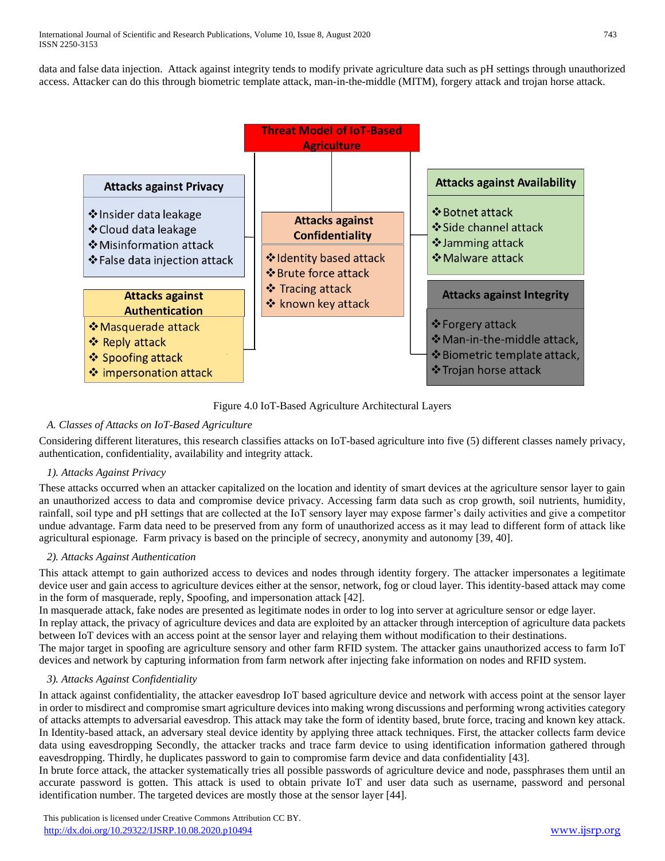data and false data injection. Attack against integrity tends to modify private agriculture data such as pH settings through unauthorized access. Attacker can do this through biometric template attack, man-in-the-middle (MITM), forgery attack and trojan horse attack.



Figure 4.0 IoT-Based Agriculture Architectural Layers

# *A. Classes of Attacks on IoT-Based Agriculture*

Considering different literatures, this research classifies attacks on IoT-based agriculture into five (5) different classes namely privacy, authentication, confidentiality, availability and integrity attack.

## *1). Attacks Against Privacy*

These attacks occurred when an attacker capitalized on the location and identity of smart devices at the agriculture sensor layer to gain an unauthorized access to data and compromise device privacy. Accessing farm data such as crop growth, soil nutrients, humidity, rainfall, soil type and pH settings that are collected at the IoT sensory layer may expose farmer's daily activities and give a competitor undue advantage. Farm data need to be preserved from any form of unauthorized access as it may lead to different form of attack like agricultural espionage. Farm privacy is based on the principle of secrecy, anonymity and autonomy [39, 40].

## *2). Attacks Against Authentication*

This attack attempt to gain authorized access to devices and nodes through identity forgery. The attacker impersonates a legitimate device user and gain access to agriculture devices either at the sensor, network, fog or cloud layer. This identity-based attack may come in the form of masquerade, reply, Spoofing, and impersonation attack [42].

In masquerade attack, fake nodes are presented as legitimate nodes in order to log into server at agriculture sensor or edge layer. In replay attack, the privacy of agriculture devices and data are exploited by an attacker through interception of agriculture data packets between IoT devices with an access point at the sensor layer and relaying them without modification to their destinations. The major target in spoofing are agriculture sensory and other farm RFID system. The attacker gains unauthorized access to farm IoT devices and network by capturing information from farm network after injecting fake information on nodes and RFID system.

## *3). Attacks Against Confidentiality*

In attack against confidentiality, the attacker eavesdrop IoT based agriculture device and network with access point at the sensor layer in order to misdirect and compromise smart agriculture devices into making wrong discussions and performing wrong activities category of attacks attempts to adversarial eavesdrop. This attack may take the form of identity based, brute force, tracing and known key attack. In Identity-based attack, an adversary steal device identity by applying three attack techniques. First, the attacker collects farm device data using eavesdropping Secondly, the attacker tracks and trace farm device to using identification information gathered through eavesdropping. Thirdly, he duplicates password to gain to compromise farm device and data confidentiality [43].

In brute force attack, the attacker systematically tries all possible passwords of agriculture device and node, passphrases them until an accurate password is gotten. This attack is used to obtain private IoT and user data such as username, password and personal identification number. The targeted devices are mostly those at the sensor layer [44].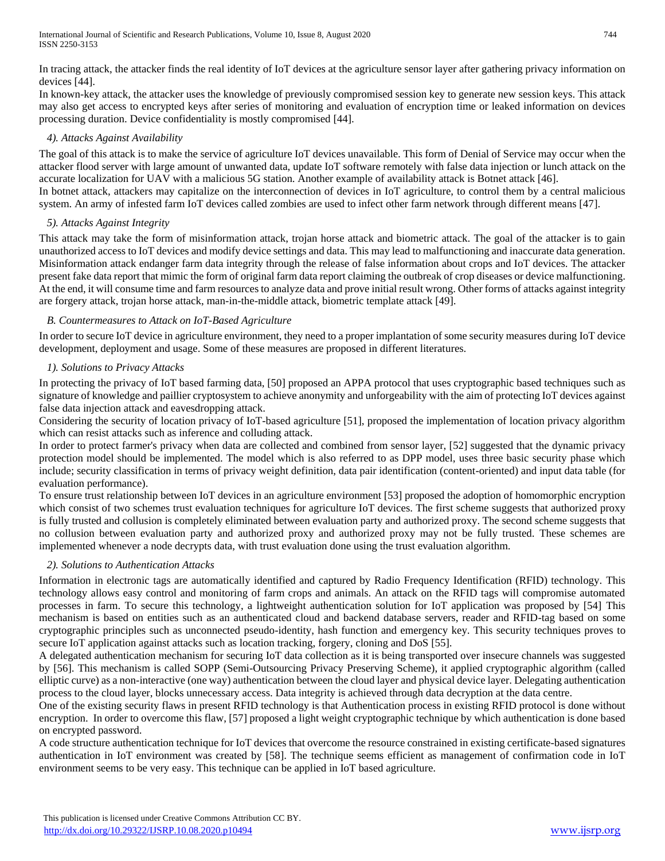In tracing attack, the attacker finds the real identity of IoT devices at the agriculture sensor layer after gathering privacy information on devices [44].

In known-key attack, the attacker uses the knowledge of previously compromised session key to generate new session keys. This attack may also get access to encrypted keys after series of monitoring and evaluation of encryption time or leaked information on devices processing duration. Device confidentiality is mostly compromised [44].

## *4). Attacks Against Availability*

The goal of this attack is to make the service of agriculture IoT devices unavailable. This form of Denial of Service may occur when the attacker flood server with large amount of unwanted data, update IoT software remotely with false data injection or lunch attack on the accurate localization for UAV with a malicious 5G station. Another example of availability attack is Botnet attack [46]. In botnet attack, attackers may capitalize on the interconnection of devices in IoT agriculture, to control them by a central malicious

system. An army of infested farm IoT devices called zombies are used to infect other farm network through different means [47].

# *5). Attacks Against Integrity*

This attack may take the form of misinformation attack, trojan horse attack and biometric attack. The goal of the attacker is to gain unauthorized access to IoT devices and modify device settings and data. This may lead to malfunctioning and inaccurate data generation. Misinformation attack endanger farm data integrity through the release of false information about crops and IoT devices. The attacker present fake data report that mimic the form of original farm data report claiming the outbreak of crop diseases or device malfunctioning. At the end, it will consume time and farm resources to analyze data and prove initial result wrong. Other forms of attacks against integrity are forgery attack, trojan horse attack, man-in-the-middle attack, biometric template attack [49].

# *B. Countermeasures to Attack on IoT-Based Agriculture*

In order to secure IoT device in agriculture environment, they need to a proper implantation of some security measures during IoT device development, deployment and usage. Some of these measures are proposed in different literatures.

# *1). Solutions to Privacy Attacks*

In protecting the privacy of IoT based farming data, [50] proposed an APPA protocol that uses cryptographic based techniques such as signature of knowledge and paillier cryptosystem to achieve anonymity and unforgeability with the aim of protecting IoT devices against false data injection attack and eavesdropping attack.

Considering the security of location privacy of IoT-based agriculture [51], proposed the implementation of location privacy algorithm which can resist attacks such as inference and colluding attack.

In order to protect farmer's privacy when data are collected and combined from sensor layer, [52] suggested that the dynamic privacy protection model should be implemented. The model which is also referred to as DPP model, uses three basic security phase which include; security classification in terms of privacy weight definition, data pair identification (content-oriented) and input data table (for evaluation performance).

To ensure trust relationship between IoT devices in an agriculture environment [53] proposed the adoption of homomorphic encryption which consist of two schemes trust evaluation techniques for agriculture IoT devices. The first scheme suggests that authorized proxy is fully trusted and collusion is completely eliminated between evaluation party and authorized proxy. The second scheme suggests that no collusion between evaluation party and authorized proxy and authorized proxy may not be fully trusted. These schemes are implemented whenever a node decrypts data, with trust evaluation done using the trust evaluation algorithm.

# *2). Solutions to Authentication Attacks*

Information in electronic tags are automatically identified and captured by Radio Frequency Identification (RFID) technology. This technology allows easy control and monitoring of farm crops and animals. An attack on the RFID tags will compromise automated processes in farm. To secure this technology, a lightweight authentication solution for IoT application was proposed by [54] This mechanism is based on entities such as an authenticated cloud and backend database servers, reader and RFID-tag based on some cryptographic principles such as unconnected pseudo-identity, hash function and emergency key. This security techniques proves to secure IoT application against attacks such as location tracking, forgery, cloning and DoS [55].

A delegated authentication mechanism for securing IoT data collection as it is being transported over insecure channels was suggested by [56]. This mechanism is called SOPP (Semi-Outsourcing Privacy Preserving Scheme), it applied cryptographic algorithm (called elliptic curve) as a non-interactive (one way) authentication between the cloud layer and physical device layer. Delegating authentication process to the cloud layer, blocks unnecessary access. Data integrity is achieved through data decryption at the data centre.

One of the existing security flaws in present RFID technology is that Authentication process in existing RFID protocol is done without encryption. In order to overcome this flaw, [57] proposed a light weight cryptographic technique by which authentication is done based on encrypted password.

A code structure authentication technique for IoT devices that overcome the resource constrained in existing certificate-based signatures authentication in IoT environment was created by [58]. The technique seems efficient as management of confirmation code in IoT environment seems to be very easy. This technique can be applied in IoT based agriculture.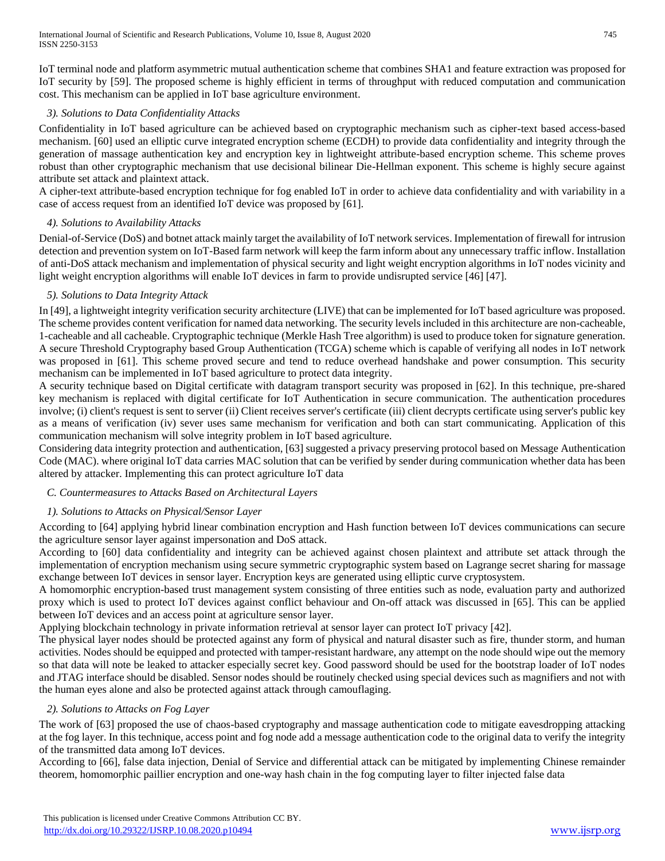IoT terminal node and platform asymmetric mutual authentication scheme that combines SHA1 and feature extraction was proposed for IoT security by [59]. The proposed scheme is highly efficient in terms of throughput with reduced computation and communication cost. This mechanism can be applied in IoT base agriculture environment.

# *3). Solutions to Data Confidentiality Attacks*

Confidentiality in IoT based agriculture can be achieved based on cryptographic mechanism such as cipher-text based access-based mechanism. [60] used an elliptic curve integrated encryption scheme (ECDH) to provide data confidentiality and integrity through the generation of massage authentication key and encryption key in lightweight attribute-based encryption scheme. This scheme proves robust than other cryptographic mechanism that use decisional bilinear Die-Hellman exponent. This scheme is highly secure against attribute set attack and plaintext attack.

A cipher-text attribute-based encryption technique for fog enabled IoT in order to achieve data confidentiality and with variability in a case of access request from an identified IoT device was proposed by [61].

# *4). Solutions to Availability Attacks*

Denial-of-Service (DoS) and botnet attack mainly target the availability of IoT network services. Implementation of firewall for intrusion detection and prevention system on IoT-Based farm network will keep the farm inform about any unnecessary traffic inflow. Installation of anti-DoS attack mechanism and implementation of physical security and light weight encryption algorithms in IoT nodes vicinity and light weight encryption algorithms will enable IoT devices in farm to provide undisrupted service [46] [47].

# *5). Solutions to Data Integrity Attack*

In [49], a lightweight integrity verification security architecture (LIVE) that can be implemented for IoT based agriculture was proposed. The scheme provides content verification for named data networking. The security levels included in this architecture are non-cacheable, 1-cacheable and all cacheable. Cryptographic technique (Merkle Hash Tree algorithm) is used to produce token for signature generation. A secure Threshold Cryptography based Group Authentication (TCGA) scheme which is capable of verifying all nodes in IoT network was proposed in [61]. This scheme proved secure and tend to reduce overhead handshake and power consumption. This security mechanism can be implemented in IoT based agriculture to protect data integrity.

A security technique based on Digital certificate with datagram transport security was proposed in [62]. In this technique, pre-shared key mechanism is replaced with digital certificate for IoT Authentication in secure communication. The authentication procedures involve; (i) client's request is sent to server (ii) Client receives server's certificate (iii) client decrypts certificate using server's public key as a means of verification (iv) sever uses same mechanism for verification and both can start communicating. Application of this communication mechanism will solve integrity problem in IoT based agriculture.

Considering data integrity protection and authentication, [63] suggested a privacy preserving protocol based on Message Authentication Code (MAC). where original IoT data carries MAC solution that can be verified by sender during communication whether data has been altered by attacker. Implementing this can protect agriculture IoT data

# *C. Countermeasures to Attacks Based on Architectural Layers*

# *1). Solutions to Attacks on Physical/Sensor Layer*

According to [64] applying hybrid linear combination encryption and Hash function between IoT devices communications can secure the agriculture sensor layer against impersonation and DoS attack.

According to [60] data confidentiality and integrity can be achieved against chosen plaintext and attribute set attack through the implementation of encryption mechanism using secure symmetric cryptographic system based on Lagrange secret sharing for massage exchange between IoT devices in sensor layer. Encryption keys are generated using elliptic curve cryptosystem.

A homomorphic encryption-based trust management system consisting of three entities such as node, evaluation party and authorized proxy which is used to protect IoT devices against conflict behaviour and On-off attack was discussed in [65]. This can be applied between IoT devices and an access point at agriculture sensor layer.

Applying blockchain technology in private information retrieval at sensor layer can protect IoT privacy [42].

The physical layer nodes should be protected against any form of physical and natural disaster such as fire, thunder storm, and human activities. Nodes should be equipped and protected with tamper-resistant hardware, any attempt on the node should wipe out the memory so that data will note be leaked to attacker especially secret key. Good password should be used for the bootstrap loader of IoT nodes and JTAG interface should be disabled. Sensor nodes should be routinely checked using special devices such as magnifiers and not with the human eyes alone and also be protected against attack through camouflaging.

## *2). Solutions to Attacks on Fog Layer*

The work of [63] proposed the use of chaos-based cryptography and massage authentication code to mitigate eavesdropping attacking at the fog layer. In this technique, access point and fog node add a message authentication code to the original data to verify the integrity of the transmitted data among IoT devices.

According to [66], false data injection, Denial of Service and differential attack can be mitigated by implementing Chinese remainder theorem, homomorphic paillier encryption and one-way hash chain in the fog computing layer to filter injected false data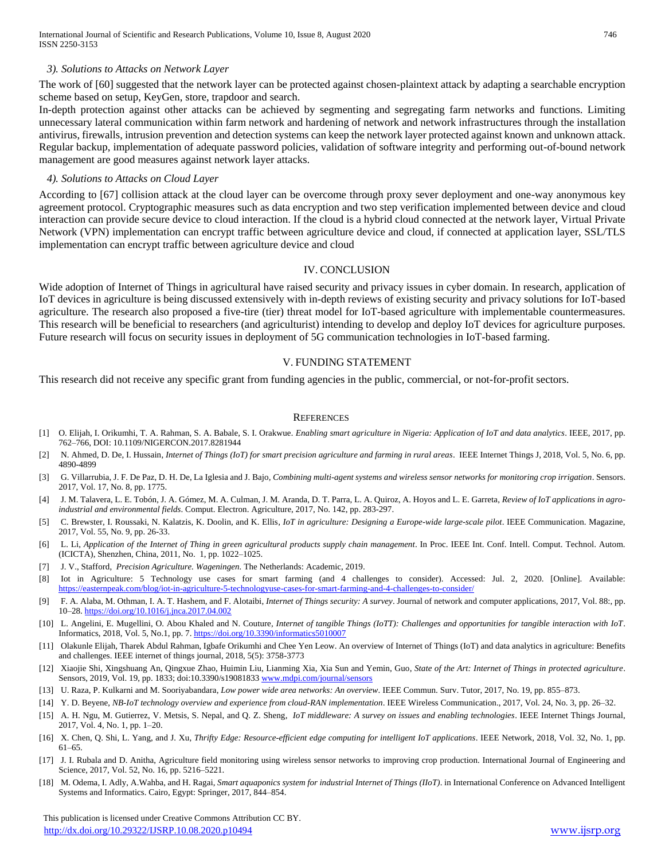#### *3). Solutions to Attacks on Network Layer*

The work of [60] suggested that the network layer can be protected against chosen-plaintext attack by adapting a searchable encryption scheme based on setup, KeyGen, store, trapdoor and search.

In-depth protection against other attacks can be achieved by segmenting and segregating farm networks and functions. Limiting unnecessary lateral communication within farm network and hardening of network and network infrastructures through the installation antivirus, firewalls, intrusion prevention and detection systems can keep the network layer protected against known and unknown attack. Regular backup, implementation of adequate password policies, validation of software integrity and performing out-of-bound network management are good measures against network layer attacks.

#### *4). Solutions to Attacks on Cloud Layer*

According to [67] collision attack at the cloud layer can be overcome through proxy sever deployment and one-way anonymous key agreement protocol. Cryptographic measures such as data encryption and two step verification implemented between device and cloud interaction can provide secure device to cloud interaction. If the cloud is a hybrid cloud connected at the network layer, Virtual Private Network (VPN) implementation can encrypt traffic between agriculture device and cloud, if connected at application layer, SSL/TLS implementation can encrypt traffic between agriculture device and cloud

#### IV. CONCLUSION

Wide adoption of Internet of Things in agricultural have raised security and privacy issues in cyber domain. In research, application of IoT devices in agriculture is being discussed extensively with in-depth reviews of existing security and privacy solutions for IoT-based agriculture. The research also proposed a five-tire (tier) threat model for IoT-based agriculture with implementable countermeasures. This research will be beneficial to researchers (and agriculturist) intending to develop and deploy IoT devices for agriculture purposes. Future research will focus on security issues in deployment of 5G communication technologies in IoT-based farming.

#### V. FUNDING STATEMENT

This research did not receive any specific grant from funding agencies in the public, commercial, or not-for-profit sectors.

#### **REFERENCES**

- [1] O. Elijah, I. Orikumhi, T. A. Rahman, S. A. Babale, S. I. Orakwue*. Enabling smart agriculture in Nigeria: Application of IoT and data analytics*. IEEE, 2017, pp. 762–766, DOI: 10.1109/NIGERCON.2017.8281944
- [2] N. Ahmed, D. De, I. Hussain, *Internet of Things (IoT) for smart precision agriculture and farming in rural areas*. IEEE Internet Things J, 2018, Vol. 5, No. 6, pp. 4890-4899
- [3] G. Villarrubia, J. F. De Paz, D. H. De, La Iglesia and J. Bajo*, Combining multi-agent systems and wireless sensor networks for monitoring crop irrigation*. Sensors. 2017, Vol. 17, No. 8, pp. 1775.
- [4] J. M. Talavera, L. E. Tobón, J. A. Gómez, M. A. Culman, J. M. Aranda, D. T. Parra, L. A. Quiroz, A. Hoyos and L. E. Garreta, *Review of IoT applications in agroindustrial and environmental fields*. Comput. Electron. Agriculture, 2017, No. 142, pp. 283-297.
- [5] C. Brewster, I. Roussaki, N. Kalatzis, K. Doolin, and K. Ellis, *IoT in agriculture: Designing a Europe-wide large-scale pilot*. IEEE Communication. Magazine, 2017, Vol. 55, No. 9, pp. 26-33.
- [6] L. Li, *Application of the Internet of Thing in green agricultural products supply chain management*. In Proc. IEEE Int. Conf. Intell. Comput. Technol. Autom. (ICICTA), Shenzhen, China, 2011, No. 1, pp. 1022–1025.
- [7] J. V., Stafford, *Precision Agriculture. Wageningen.* The Netherlands: Academic, 2019.
- [8] Iot in Agriculture: 5 Technology use cases for smart farming (and 4 challenges to consider). Accessed: Jul. 2, 2020. [Online]. Available: <https://easternpeak.com/blog/iot-in-agriculture-5-technologyuse-cases-for-smart-farming-and-4-challenges-to-consider/>
- [9] F. A. Alaba, M. Othman, I. A. T. Hashem, and F. Alotaibi, *Internet of Things security: A survey*. Journal of network and computer applications, 2017, Vol. 88:, pp. 10–28[. https://doi.org/10.1016/j.jnca.2017.04.002](https://doi.org/10.1016/j.jnca.2017.04.002)
- [10] L. Angelini, E. Mugellini, O. Abou Khaled and N. Couture*, Internet of tangible Things (IoTT): Challenges and opportunities for tangible interaction with IoT*. Informatics, 2018, Vol. 5, No.1, pp. 7[. https://doi.org/10.3390/informatics5010007](https://doi.org/10.3390/informatics5010007)
- [11] Olakunle Elijah, Tharek Abdul Rahman, Igbafe Orikumhi and Chee Yen Leow. An overview of Internet of Things (IoT) and data analytics in agriculture: Benefits and challenges. IEEE internet of things journal, 2018, 5(5): 3758-3773
- [12] Xiaojie Shi, Xingshuang An, Qingxue Zhao, Huimin Liu, Lianming Xia, Xia Sun and Yemin, Guo, *State of the Art: Internet of Things in protected agriculture*. Sensors, 2019, Vol. 19, pp. 1833; doi:10.3390/s19081833 [www.mdpi.com/journal/sensors](http://www.mdpi.com/journal/sensors)
- [13] U. Raza, P. Kulkarni and M. Sooriyabandara, *Low power wide area networks: An overview*. IEEE Commun. Surv. Tutor, 2017, No. 19, pp. 855–873.
- [14] Y. D. Beyene, *NB-IoT technology overview and experience from cloud-RAN implementation*. IEEE Wireless Communication., 2017, Vol. 24, No. 3, pp. 26–32.
- [15] A. H. Ngu, M. Gutierrez, V. Metsis, S. Nepal, and Q. Z. Sheng, *IoT middleware: A survey on issues and enabling technologies*. IEEE Internet Things Journal, 2017, Vol. 4, No. 1, pp. 1–20.
- [16] X. Chen, Q. Shi, L. Yang, and J. Xu, *Thrifty Edge: Resource-efficient edge computing for intelligent IoT applications*. IEEE Network, 2018, Vol. 32, No. 1, pp. 61–65.
- [17] J. I. Rubala and D. Anitha, Agriculture field monitoring using wireless sensor networks to improving crop production. International Journal of Engineering and Science, 2017, Vol. 52, No. 16, pp. 5216–5221.
- [18] M. Odema, I. Adly, A.Wahba, and H. Ragai, *Smart aquaponics system for industrial Internet of Things (IIoT)*. in International Conference on Advanced Intelligent Systems and Informatics. Cairo, Egypt: Springer, 2017, 844–854.

 This publication is licensed under Creative Commons Attribution CC BY. <http://dx.doi.org/10.29322/IJSRP.10.08.2020.p10494> [www.ijsrp.org](http://ijsrp.org/)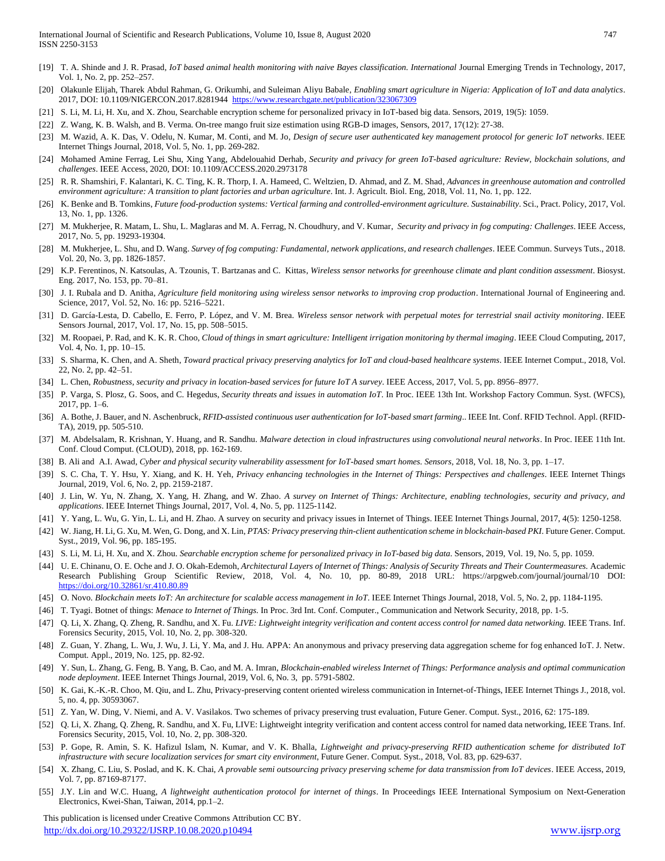- [19] T. A. Shinde and J. R. Prasad*, IoT based animal health monitoring with naive Bayes classification. International* Journal Emerging Trends in Technology, 2017, Vol. 1, No. 2, pp. 252–257.
- [20] Olakunle Elijah, Tharek Abdul Rahman, G. Orikumhi, and Suleiman Aliyu Babale, *Enabling smart agriculture in Nigeria: Application of IoT and data analytics*. 2017, DOI: 10.1109/NIGERCON.2017.8281944 <https://www.researchgate.net/publication/323067309>
- [21] S. Li, M. Li, H. Xu, and X. Zhou, Searchable encryption scheme for personalized privacy in IoT-based big data. Sensors, 2019, 19(5): 1059.
- [22] Z. Wang, K. B. Walsh, and B. Verma. On-tree mango fruit size estimation using RGB-D images, Sensors, 2017, 17(12): 27-38.
- [23] M. Wazid, A. K. Das, V. Odelu, N. Kumar, M. Conti, and M. Jo, *Design of secure user authenticated key management protocol for generic IoT networks*. IEEE Internet Things Journal, 2018, Vol. 5, No. 1, pp. 269-282.
- [24] Mohamed Amine Ferrag, Lei Shu, Xing Yang, Abdelouahid Derhab, *Security and privacy for green IoT-based agriculture: Review, blockchain solutions, and challenges*. IEEE Access, 2020, DOI: 10.1109/ACCESS.2020.2973178
- [25] R. R. Shamshiri, F. Kalantari, K. C. Ting, K. R. Thorp, I. A. Hameed, C. Weltzien, D. Ahmad, and Z. M. Shad, *Advances in greenhouse automation and controlled environment agriculture: A transition to plant factories and urban agriculture*. Int. J. Agricult. Biol. Eng, 2018, Vol. 11, No. 1, pp. 122.
- [26] K. Benke and B. Tomkins, *Future food-production systems: Vertical farming and controlled-environment agriculture. Sustainability. Sci., Pract. Policy, 2017, Vol.* 13, No. 1, pp. 1326.
- [27] M. Mukherjee, R. Matam, L. Shu, L. Maglaras and M. A. Ferrag, N. Choudhury, and V. Kumar, *Security and privacy in fog computing: Challenges*. IEEE Access, 2017, No. 5, pp. 19293-19304.
- [28] M. Mukherjee, L. Shu, and D. Wang. *Survey of fog computing: Fundamental, network applications, and research challenges*. IEEE Commun. Surveys Tuts., 2018. Vol. 20, No. 3, pp. 1826-1857.
- [29] K.P. Ferentinos, N. Katsoulas, A. Tzounis, T. Bartzanas and C. Kittas, *Wireless sensor networks for greenhouse climate and plant condition assessment*. Biosyst. Eng. 2017, No. 153, pp. 70–81.
- [30] J. I. Rubala and D. Anitha, *Agriculture field monitoring using wireless sensor networks to improving crop production*. International Journal of Engineering and. Science, 2017, Vol. 52, No. 16: pp. 5216–5221.
- [31] D. García-Lesta, D. Cabello, E. Ferro, P. López, and V. M. Brea. *Wireless sensor network with perpetual motes for terrestrial snail activity monitoring*. IEEE Sensors Journal, 2017, Vol. 17, No. 15, pp. 508–5015.
- [32] M. Roopaei, P. Rad, and K. K. R. Choo, *Cloud of things in smart agriculture: Intelligent irrigation monitoring by thermal imaging*. IEEE Cloud Computing, 2017, Vol. 4, No. 1, pp. 10–15.
- [33] S. Sharma, K. Chen, and A. Sheth, *Toward practical privacy preserving analytics for IoT and cloud-based healthcare systems*. IEEE Internet Comput., 2018, Vol. 22, No. 2, pp. 42–51.
- [34] L. Chen, *Robustness, security and privacy in location-based services for future IoT A survey*. IEEE Access, 2017, Vol. 5, pp. 8956–8977.
- [35] P. Varga, S. Plosz, G. Soos, and C. Hegedus, *Security threats and issues in automation IoT*. In Proc. IEEE 13th Int. Workshop Factory Commun. Syst. (WFCS), 2017, pp. 1–6.
- [36] A. Bothe, J. Bauer, and N. Aschenbruck, *RFID-assisted continuous user authentication for IoT-based smart farming*.. IEEE Int. Conf. RFID Technol. Appl. (RFID-TA), 2019, pp. 505-510.
- [37] M. Abdelsalam, R. Krishnan, Y. Huang, and R. Sandhu. *Malware detection in cloud infrastructures using convolutional neural networks*. In Proc. IEEE 11th Int. Conf. Cloud Comput. (CLOUD), 2018, pp. 162-169.
- [38] B. Ali and A.I. Awad, *Cyber and physical security vulnerability assessment for IoT-based smart homes. Sensors*, 2018, Vol. 18, No. 3, pp. 1–17.
- [39] S. C. Cha, T. Y. Hsu, Y. Xiang, and K. H. Yeh, *Privacy enhancing technologies in the Internet of Things: Perspectives and challenges*. IEEE Internet Things Journal, 2019, Vol. 6, No. 2, pp. 2159-2187.
- [40] J. Lin, W. Yu, N. Zhang, X. Yang, H. Zhang, and W. Zhao. *A survey on Internet of Things: Architecture, enabling technologies, security and privacy, and applications*. IEEE Internet Things Journal, 2017, Vol. 4, No. 5, pp. 1125-1142.
- [41] Y. Yang, L. Wu, G. Yin, L. Li, and H. Zhao. A survey on security and privacy issues in Internet of Things. IEEE Internet Things Journal, 2017, 4(5): 1250-1258.
- [42] W. Jiang, H. Li, G. Xu, M. Wen, G. Dong, and X. Lin, *PTAS: Privacy preserving thin-client authentication scheme in blockchain-based PKI*. Future Gener. Comput. Syst., 2019, Vol. 96, pp. 185-195.
- [43] S. Li, M. Li, H. Xu, and X. Zhou. *Searchable encryption scheme for personalized privacy in IoT-based big data*. Sensors, 2019, Vol. 19, No. 5, pp. 1059.
- [44] U. E. Chinanu, O. E. Oche and J. O. Okah-Edemoh, *Architectural Layers of Internet of Things: Analysis of Security Threats and Their Countermeasures.* Academic Research Publishing Group Scientific Review, 2018, Vol. 4, No. 10, pp. 80-89, 2018 URL: https://arpgweb.com/journal/journal/10 DOI: <https://doi.org/10.32861/sr.410.80.89>
- [45] O. Novo*. Blockchain meets IoT: An architecture for scalable access management in IoT*. IEEE Internet Things Journal, 2018, Vol. 5, No. 2, pp. 1184-1195.
- [46] T. Tyagi. Botnet of things: *Menace to Internet of Things.* In Proc. 3rd Int. Conf. Computer., Communication and Network Security, 2018, pp. 1-5.
- [47] Q. Li, X. Zhang, Q. Zheng, R. Sandhu, and X. Fu*. LIVE: Lightweight integrity verification and content access control for named data networking.* IEEE Trans. Inf. Forensics Security, 2015, Vol. 10, No. 2, pp. 308-320.
- [48] Z. Guan, Y. Zhang, L. Wu, J. Wu, J. Li, Y. Ma, and J. Hu. APPA: An anonymous and privacy preserving data aggregation scheme for fog enhanced IoT. J. Netw. Comput. Appl., 2019, No. 125, pp. 82-92.
- [49] Y. Sun, L. Zhang, G. Feng, B. Yang, B. Cao, and M. A. Imran, *Blockchain-enabled wireless Internet of Things: Performance analysis and optimal communication node deployment*. IEEE Internet Things Journal, 2019, Vol. 6, No. 3, pp. 5791-5802.
- [50] K. Gai, K.-K.-R. Choo, M. Qiu, and L. Zhu, Privacy-preserving content oriented wireless communication in Internet-of-Things, IEEE Internet Things J., 2018, vol. 5, no. 4, pp. 30593067.
- [51] Z. Yan, W. Ding, V. Niemi, and A. V. Vasilakos. Two schemes of privacy preserving trust evaluation, Future Gener. Comput. Syst., 2016, 62: 175-189.
- [52] Q. Li, X. Zhang, Q. Zheng, R. Sandhu, and X. Fu, LIVE: Lightweight integrity verification and content access control for named data networking, IEEE Trans. Inf. Forensics Security, 2015, Vol. 10, No. 2, pp. 308-320.
- [53] P. Gope, R. Amin, S. K. Hafizul Islam, N. Kumar, and V. K. Bhalla, *Lightweight and privacy-preserving RFID authentication scheme for distributed IoT infrastructure with secure localization services for smart city environment*, Future Gener. Comput. Syst., 2018, Vol. 83, pp. 629-637.
- [54] X. Zhang, C. Liu, S. Poslad, and K. K. Chai, *A provable semi outsourcing privacy preserving scheme for data transmission from IoT devices*. IEEE Access, 2019, Vol. 7, pp. 87169-87177.
- [55] J.Y. Lin and W.C. Huang, *A lightweight authentication protocol for internet of things*. In Proceedings IEEE International Symposium on Next-Generation Electronics, Kwei-Shan, Taiwan, 2014, pp.1–2.

 This publication is licensed under Creative Commons Attribution CC BY. <http://dx.doi.org/10.29322/IJSRP.10.08.2020.p10494> [www.ijsrp.org](http://ijsrp.org/)